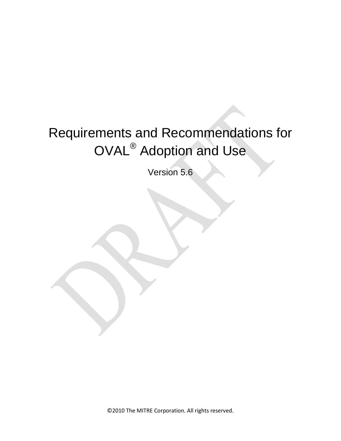# Requirements and Recommendations for OVAL® Adoption and Use

Version 5.6

©2010 The MITRE Corporation. All rights reserved.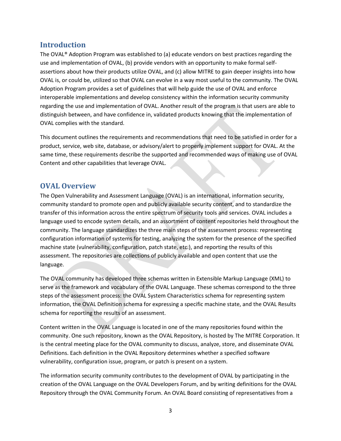## **Introduction**

The OVAL® Adoption Program was established to (a) educate vendors on best practices regarding the use and implementation of OVAL, (b) provide vendors with an opportunity to make formal selfassertions about how their products utilize OVAL, and (c) allow MITRE to gain deeper insights into how OVAL is, or could be, utilized so that OVAL can evolve in a way most useful to the community. The OVAL Adoption Program provides a set of guidelines that will help guide the use of OVAL and enforce interoperable implementations and develop consistency within the information security community regarding the use and implementation of OVAL. Another result of the program is that users are able to distinguish between, and have confidence in, validated products knowing that the implementation of OVAL complies with the standard.

This document outlines the requirements and recommendations that need to be satisfied in order for a product, service, web site, database, or advisory/alert to properly implement support for OVAL. At the same time, these requirements describe the supported and recommended ways of making use of OVAL Content and other capabilities that leverage OVAL.

## **OVAL Overview**

The Open Vulnerability and Assessment Language (OVAL) is an international, information security, community standard to promote open and publicly available security content, and to standardize the transfer of this information across the entire spectrum of security tools and services. OVAL includes a language used to encode system details, and an assortment of content repositories held throughout the community. The language standardizes the three main steps of the assessment process: representing configuration information of systems for testing, analyzing the system for the presence of the specified machine state (vulnerability, configuration, patch state, etc.), and reporting the results of this assessment. The repositories are collections of publicly available and open content that use the language.

The OVAL community has developed three schemas written in Extensible Markup Language (XML) to serve as the framework and vocabulary of the OVAL Language. These schemas correspond to the three steps of the assessment process: the OVAL System Characteristics schema for representing system information, the OVAL Definition schema for expressing a specific machine state, and the OVAL Results schema for reporting the results of an assessment.

Content written in the OVAL Language is located in one of the many repositories found within the community. One such repository, known as the OVAL Repository, is hosted by The MITRE Corporation. It is the central meeting place for the OVAL community to discuss, analyze, store, and disseminate OVAL Definitions. Each definition in the OVAL Repository determines whether a specified software vulnerability, configuration issue, program, or patch is present on a system.

The information security community contributes to the development of OVAL by participating in the creation of the OVAL Language on the OVAL Developers Forum, and by writing definitions for the OVAL Repository through the OVAL Community Forum. An OVAL Board consisting of representatives from a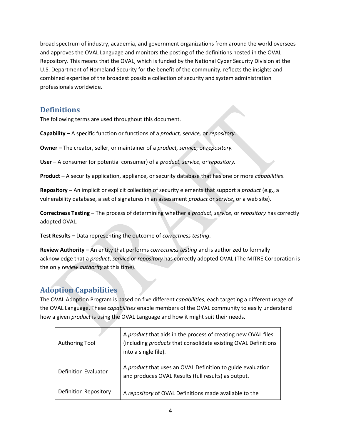broad spectrum of industry, academia, and government organizations from around the world oversees and approves the OVAL Language and monitors the posting of the definitions hosted in the OVAL Repository. This means that the OVAL, which is funded by the National Cyber Security Division at the U.S. Department of Homeland Security for the benefit of the community, reflects the insights and combined expertise of the broadest possible collection of security and system administration professionals worldwide.

## **Definitions**

The following terms are used throughout this document.

**Capability –** A specific function or functions of a *product, service,* or *repository*.

**Owner –** The creator, seller, or maintainer of a *product, service,* or *repository.*

**User –** A consumer (or potential consumer) of a *product, service,* or *repository.*

**Product –** A security application, appliance, or security database that has one or more *capabilities*.

**Repository –** An implicit or explicit collection of security elements that support a *product* (e.g., a vulnerability database, a set of signatures in an assessment *product* or *service*, or a web site).

**Correctness Testing –** The process of determining whether a *product, service,* or *repository* has correctly adopted OVAL.

**Test Results –** Data representing the outcome of *correctness testing*.

**Review Authority –** An entity that performs *correctness testing* and is authorized to formally acknowledge that a *product*, *service* or *repository* has correctly adopted OVAL (The MITRE Corporation is the only *review authority* at this time).

## **Adoption Capabilities**

The OVAL Adoption Program is based on five different *capabilities*, each targeting a different usage of the OVAL Language. These *capabilities* enable members of the OVAL community to easily understand how a given *product* is using the OVAL Language and how it might suit their needs.

| Authoring Tool               | A product that aids in the process of creating new OVAL files<br>(including products that consolidate existing OVAL Definitions<br>into a single file). |
|------------------------------|---------------------------------------------------------------------------------------------------------------------------------------------------------|
| <b>Definition Evaluator</b>  | A product that uses an OVAL Definition to guide evaluation<br>and produces OVAL Results (full results) as output.                                       |
| <b>Definition Repository</b> | A repository of OVAL Definitions made available to the                                                                                                  |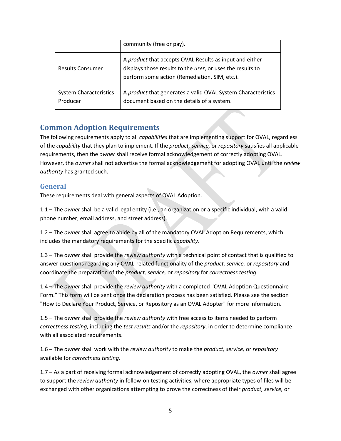|                                           | community (free or pay).                                                                                                                                               |
|-------------------------------------------|------------------------------------------------------------------------------------------------------------------------------------------------------------------------|
| <b>Results Consumer</b>                   | A product that accepts OVAL Results as input and either<br>displays those results to the user, or uses the results to<br>perform some action (Remediation, SIM, etc.). |
| <b>System Characteristics</b><br>Producer | A product that generates a valid OVAL System Characteristics<br>document based on the details of a system.                                                             |

## **Common Adoption Requirements**

The following requirements apply to all *capabilities* that are implementing support for OVAL, regardless of the *capability* that they plan to implement. If the *product, service,* or *repository* satisfies all applicable requirements, then the *owner* shall receive formal acknowledgement of correctly adopting OVAL. However, the *owner* shall not advertise the formal acknowledgement for adopting OVAL until the *review authority* has granted such.

#### **General**

These requirements deal with general aspects of OVAL Adoption.

1.1 – The *owner* shall be a valid legal entity (i.e., an organization or a specific individual, with a valid phone number, email address, and street address).

1.2 – The *owner* shall agree to abide by all of the mandatory OVAL Adoption Requirements, which includes the mandatory requirements for the specific *capability*.

1.3 – The *owner* shall provide the *review authority* with a technical point of contact that is qualified to answer questions regarding any OVAL-related functionality of the *product, service,* or *repository* and coordinate the preparation of the *product, service,* or *repository* for *correctness testing*.

1.4 – The *owner* shall provide the *review authority* with a completed "OVAL Adoption Questionnaire Form." This form will be sent once the declaration process has been satisfied. Please see the section "How to Declare Your Product, Service, or Repository as an OVAL Adopter" for more information.

1.5 – The *owner* shall provide the *review authority* with free access to items needed to perform *correctness testing*, including the *test results* and/or the *repository*, in order to determine compliance with all associated requirements.

1.6 – The *owner* shall work with the *review authority* to make the *product, service,* or *repository* available for *correctness testing*.

1.7 – As a part of receiving formal acknowledgement of correctly adopting OVAL, the *owner* shall agree to support the *review authority* in follow-on testing activities, where appropriate types of files will be exchanged with other organizations attempting to prove the correctness of their *product, service,* or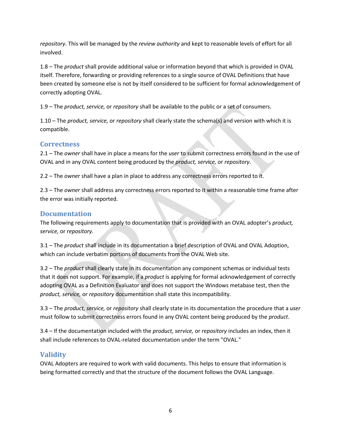*repository*. This will be managed by the *review authority* and kept to reasonable levels of effort for all involved.

1.8 – The *product* shall provide additional value or information beyond that which is provided in OVAL itself. Therefore, forwarding or providing references to a single source of OVAL Definitions that have been created by someone else is not by itself considered to be sufficient for formal acknowledgement of correctly adopting OVAL.

1.9 – The *product, service,* or *repository* shall be available to the public or a set of consumers.

1.10 – The *product, service,* or *repository* shall clearly state the schema(s) and version with which it is compatible.

#### **Correctness**

2.1 – The *owner* shall have in place a means for the *user* to submit correctness errors found in the use of OVAL and in any OVAL content being produced by the *product, service,* or *repository*.

2.2 – The *owner* shall have a plan in place to address any correctness errors reported to it.

2.3 – The *owner* shall address any correctness errors reported to it within a reasonable time frame after the error was initially reported.

#### **Documentation**

The following requirements apply to documentation that is provided with an OVAL adopter's *product, service,* or *repository*.

3.1 – The *product* shall include in its documentation a brief description of OVAL and OVAL Adoption, which can include verbatim portions of documents from the OVAL Web site.

3.2 – The *product* shall clearly state in its documentation any component schemas or individual tests that it does not support. For example, if a *product* is applying for formal acknowledgement of correctly adopting OVAL as a Definition Evaluator and does not support the Windows metabase test, then the *product, service,* or *repository* documentation shall state this incompatibility.

3.3 – The *product, service,* or *repository* shall clearly state in its documentation the procedure that a *user* must follow to submit correctness errors found in any OVAL content being produced by the *product*.

3.4 – If the documentation included with the *product, service,* or *repository* includes an index, then it shall include references to OVAL-related documentation under the term "OVAL."

#### **Validity**

OVAL Adopters are required to work with valid documents. This helps to ensure that information is being formatted correctly and that the structure of the document follows the OVAL Language.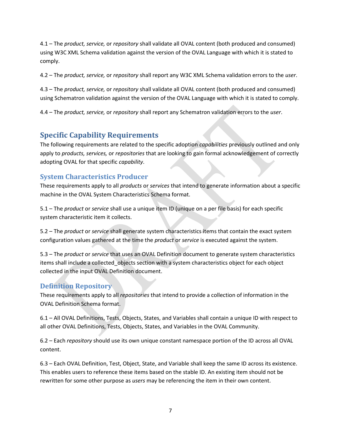4.1 – The *product, service,* or *repository* shall validate all OVAL content (both produced and consumed) using W3C XML Schema validation against the version of the OVAL Language with which it is stated to comply.

4.2 – The *product, service,* or *repository* shall report any W3C XML Schema validation errors to the *user*.

4.3 – The *product, service,* or *repository* shall validate all OVAL content (both produced and consumed) using Schematron validation against the version of the OVAL Language with which it is stated to comply.

4.4 – The *product, service,* or *repository* shall report any Schematron validation errors to the *user*.

## **Specific Capability Requirements**

The following requirements are related to the specific adoption *capabilities* previously outlined and only apply to *products, services,* or *repositories* that are looking to gain formal acknowledgement of correctly adopting OVAL for that specific *capability*.

#### **System Characteristics Producer**

These requirements apply to all *products* or *services* that intend to generate information about a specific machine in the OVAL System Characteristics Schema format.

5.1 – The *product* or *service* shall use a unique item ID (unique on a per file basis) for each specific system characteristic item it collects.

5.2 – The *product* or *service* shall generate system characteristics items that contain the exact system configuration values gathered at the time the *product* or *service* is executed against the system.

5.3 – The *product* or *service* that uses an OVAL Definition document to generate system characteristics items shall include a collected\_objects section with a system characteristics object for each object collected in the input OVAL Definition document.

#### **Definition Repository**

These requirements apply to all *repositories* that intend to provide a collection of information in the OVAL Definition Schema format.

6.1 – All OVAL Definitions, Tests, Objects, States, and Variables shall contain a unique ID with respect to all other OVAL Definitions, Tests, Objects, States, and Variables in the OVAL Community.

6.2 – Each *repository* should use its own unique constant namespace portion of the ID across all OVAL content.

6.3 – Each OVAL Definition, Test, Object, State, and Variable shall keep the same ID across its existence. This enables users to reference these items based on the stable ID. An existing item should not be rewritten for some other purpose as *users* may be referencing the item in their own content.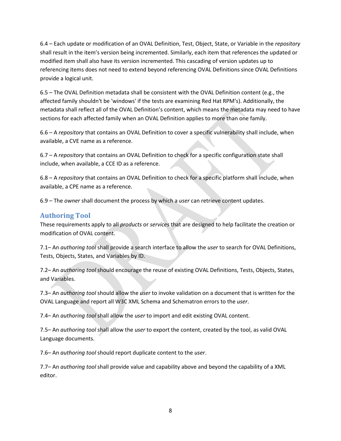6.4 – Each update or modification of an OVAL Definition, Test, Object, State, or Variable in the *repository* shall result in the item's version being incremented. Similarly, each item that references the updated or modified item shall also have its version incremented. This cascading of version updates up to referencing items does not need to extend beyond referencing OVAL Definitions since OVAL Definitions provide a logical unit.

6.5 – The OVAL Definition metadata shall be consistent with the OVAL Definition content (e.g., the affected family shouldn't be 'windows' if the tests are examining Red Hat RPM's). Additionally, the metadata shall reflect all of the OVAL Definition's content, which means the metadata may need to have sections for each affected family when an OVAL Definition applies to more than one family.

6.6 – A *repository* that contains an OVAL Definition to cover a specific vulnerability shall include, when available, a CVE name as a reference.

6.7 – A *repository* that contains an OVAL Definition to check for a specific configuration state shall include, when available, a CCE ID as a reference.

6.8 – A *repository* that contains an OVAL Definition to check for a specific platform shall include, when available, a CPE name as a reference.

6.9 – The *owner* shall document the process by which a *user* can retrieve content updates.

## **Authoring Tool**

These requirements apply to all *products* or *services* that are designed to help facilitate the creation or modification of OVAL content.

7.1– An *authoring tool* shall provide a search interface to allow the *user* to search for OVAL Definitions, Tests, Objects, States, and Variables by ID.

7.2– An *authoring tool* should encourage the reuse of existing OVAL Definitions, Tests, Objects, States, and Variables.

7.3– An *authoring tool* should allow the *user* to invoke validation on a document that is written for the OVAL Language and report all W3C XML Schema and Schematron errors to the *user*.

7.4– An *authoring tool* shall allow the *user* to import and edit existing OVAL content.

7.5– An *authoring tool* shall allow the *user* to export the content, created by the tool, as valid OVAL Language documents.

7.6– An *authoring tool* should report duplicate content to the *user*.

7.7– An *authoring tool* shall provide value and capability above and beyond the capability of a XML editor.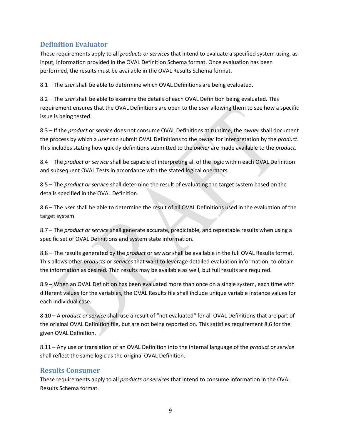## **Definition Evaluator**

These requirements apply to all *products or services* that intend to evaluate a specified system using, as input, information provided in the OVAL Definition Schema format. Once evaluation has been performed, the results must be available in the OVAL Results Schema format.

8.1 – The *user* shall be able to determine which OVAL Definitions are being evaluated.

8.2 – The *user* shall be able to examine the details of each OVAL Definition being evaluated. This requirement ensures that the OVAL Definitions are open to the *user* allowing them to see how a specific issue is being tested.

8.3 – If the *product* or *service* does not consume OVAL Definitions at runtime, the *owner* shall document the process by which a *user* can submit OVAL Definitions to the *owner* for interpretation by the *product*. This includes stating how quickly definitions submitted to the *owner* are made available to the *product*.

8.4 – The *product* or *service* shall be capable of interpreting all of the logic within each OVAL Definition and subsequent OVAL Tests in accordance with the stated logical operators.

8.5 – The *product or service* shall determine the result of evaluating the target system based on the details specified in the OVAL Definition.

8.6 – The *user* shall be able to determine the result of all OVAL Definitions used in the evaluation of the target system.

8.7 – The *product or service* shall generate accurate, predictable, and repeatable results when using a specific set of OVAL Definitions and system state information.

8.8 – The results generated by the *product* or *service* shall be available in the full OVAL Results format. This allows other *products* or *services* that want to leverage detailed evaluation information, to obtain the information as desired. Thin results may be available as well, but full results are required.

8.9 – When an OVAL Definition has been evaluated more than once on a single system, each time with different values for the variables, the OVAL Results file shall include unique variable instance values for each individual case.

8.10 – A *product or service* shall use a result of "not evaluated" for all OVAL Definitions that are part of the original OVAL Definition file, but are not being reported on. This satisfies requirement 8.6 for the given OVAL Definition.

8.11 – Any use or translation of an OVAL Definition into the internal language of the *product or service* shall reflect the same logic as the original OVAL Definition.

#### **Results Consumer**

These requirements apply to all *products or services* that intend to consume information in the OVAL Results Schema format.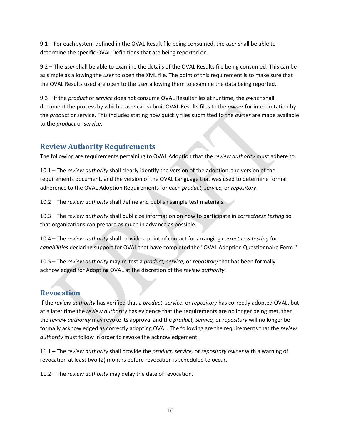9.1 – For each system defined in the OVAL Result file being consumed, the *user* shall be able to determine the specific OVAL Definitions that are being reported on.

9.2 – The *user* shall be able to examine the details of the OVAL Results file being consumed. This can be as simple as allowing the *user* to open the XML file. The point of this requirement is to make sure that the OVAL Results used are open to the *user* allowing them to examine the data being reported.

9.3 – If the *product* or *service* does not consume OVAL Results files at runtime, the *owner* shall document the process by which a *user* can submit OVAL Results files to the *owner* for interpretation by the *product* or service. This includes stating how quickly files submitted to the *owner* are made available to the *product* or *service*.

## **Review Authority Requirements**

The following are requirements pertaining to OVAL Adoption that the *review authority* must adhere to.

10.1 – The *review authority* shall clearly identify the version of the adoption, the version of the requirements document, and the version of the OVAL Language that was used to determine formal adherence to the OVAL Adoption Requirements for each *product, service,* or *repository*.

10.2 – The *review authority* shall define and publish sample test materials.

10.3 – The *review authority* shall publicize information on how to participate in *correctness testing* so that organizations can prepare as much in advance as possible.

10.4 – The *review authority* shall provide a point of contact for arranging *correctness testing* for *capabilities* declaring support for OVAL that have completed the "OVAL Adoption Questionnaire Form."

10.5 – The *review authority* may re-test a *product, service,* or *repository* that has been formally acknowledged for Adopting OVAL at the discretion of the *review authority*.

## **Revocation**

If the *review authority* has verified that a *product, service,* or *repository* has correctly adopted OVAL, but at a later time the *review authority* has evidence that the requirements are no longer being met, then the *review authority* may revoke its approval and the *product, service,* or *repository* will no longer be formally acknowledged as correctly adopting OVAL. The following are the requirements that the *review authority* must follow in order to revoke the acknowledgement.

11.1 – The *review authority* shall provide the *product, service,* or *repository owner* with a warning of revocation at least two (2) months before revocation is scheduled to occur.

11.2 – The *review authority* may delay the date of revocation.